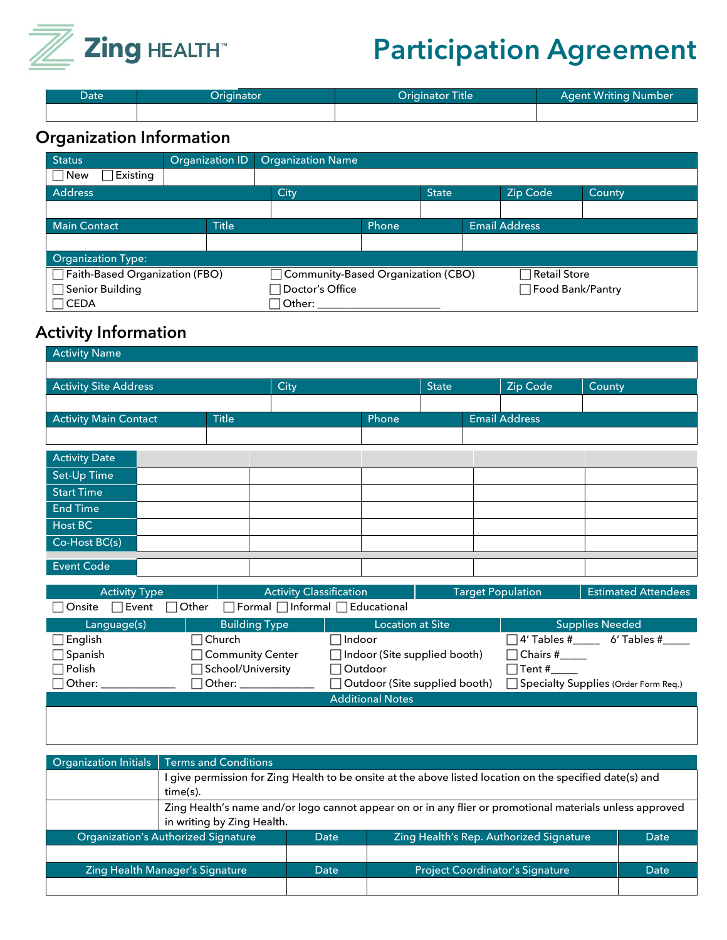

## **Participation Agreement**

| Date | Originator <sup>i</sup> | Originator Title | <b>Agent Writing Number</b> |
|------|-------------------------|------------------|-----------------------------|
|      |                         |                  |                             |

## **Organization Information**

| <b>Status</b>                       | Organization ID | <b>Organization Name</b>                                      |  |              |                      |          |               |
|-------------------------------------|-----------------|---------------------------------------------------------------|--|--------------|----------------------|----------|---------------|
| $\Box$ New<br>$\exists$ Existing    |                 |                                                               |  |              |                      |          |               |
| <b>Address</b>                      |                 | City                                                          |  | <b>State</b> |                      | Zip Code | <b>County</b> |
|                                     |                 |                                                               |  |              |                      |          |               |
| <b>Title</b><br><b>Main Contact</b> |                 | Phone                                                         |  |              | <b>Email Address</b> |          |               |
|                                     |                 |                                                               |  |              |                      |          |               |
| <b>Organization Type:</b>           |                 |                                                               |  |              |                      |          |               |
| Faith-Based Organization (FBO)      |                 | □ Community-Based Organization (CBO)<br>$\sqcap$ Retail Store |  |              |                      |          |               |
| □ Senior Building                   |                 | Food Bank/Pantry<br>$\sqcap$ Doctor's Office                  |  |              |                      |          |               |
| $\bigcap$ CEDA                      |                 | Other:                                                        |  |              |                      |          |               |

## **Activity Information**

| <b>Activity Name</b>                                                                                             |  |       |      |              |                      |  |          |        |
|------------------------------------------------------------------------------------------------------------------|--|-------|------|--------------|----------------------|--|----------|--------|
|                                                                                                                  |  |       |      |              |                      |  |          |        |
| <b>Activity Site Address</b>                                                                                     |  |       | City | <b>State</b> |                      |  | Zip Code | County |
|                                                                                                                  |  |       |      |              |                      |  |          |        |
| <b>Activity Main Contact</b><br><b>Title</b>                                                                     |  | Phone |      |              | <b>Email Address</b> |  |          |        |
|                                                                                                                  |  |       |      |              |                      |  |          |        |
| <b>Activity Date</b>                                                                                             |  |       |      |              |                      |  |          |        |
| Set-Up Time                                                                                                      |  |       |      |              |                      |  |          |        |
| <b>Start Time</b>                                                                                                |  |       |      |              |                      |  |          |        |
| <b>End Time</b>                                                                                                  |  |       |      |              |                      |  |          |        |
| Host BC                                                                                                          |  |       |      |              |                      |  |          |        |
| Co-Host BC(s)                                                                                                    |  |       |      |              |                      |  |          |        |
| <b>Event Code</b>                                                                                                |  |       |      |              |                      |  |          |        |
|                                                                                                                  |  |       |      |              |                      |  |          |        |
| <b>Activity Classification</b><br><b>Target Population</b><br><b>Estimated Attendees</b><br><b>Activity Type</b> |  |       |      |              |                      |  |          |        |
| $\Box$ Formal $\Box$ Informal $\Box$ Educational<br>$\bigcap$ Other<br>Event <br>Onsite                          |  |       |      |              |                      |  |          |        |

| <b>Building Type</b><br>Language(s) |                        | <b>Location at Site</b>             | <b>Supplies Needed</b>               |  |  |
|-------------------------------------|------------------------|-------------------------------------|--------------------------------------|--|--|
| English                             | $\lnot$ Church $\lnot$ | $\sqcap$ Indoor                     | 14′ Tables #<br>6' Tables #          |  |  |
| $\Box$ Spanish                      | Community Center_      | $\Box$ Indoor (Site supplied booth) | $\Box$ Chairs #                      |  |  |
| $\Box$ Polish                       | School/University      | $\Box$ Outdoor                      | Tent #                               |  |  |
| $\Box$ Other:                       | $\lnot$ Other: $\lnot$ | Outdoor (Site supplied booth)       | Specialty Supplies (Order Form Req.) |  |  |
|                                     |                        | <b>Additional Notes</b>             |                                      |  |  |

|                                            | Organization Initials   Terms and Conditions                                                             |      |                                         |      |  |  |
|--------------------------------------------|----------------------------------------------------------------------------------------------------------|------|-----------------------------------------|------|--|--|
|                                            | I give permission for Zing Health to be onsite at the above listed location on the specified date(s) and |      |                                         |      |  |  |
|                                            | time(s).                                                                                                 |      |                                         |      |  |  |
|                                            | Zing Health's name and/or logo cannot appear on or in any flier or promotional materials unless approved |      |                                         |      |  |  |
|                                            | in writing by Zing Health.                                                                               |      |                                         |      |  |  |
| <b>Organization's Authorized Signature</b> |                                                                                                          | Date | Zing Health's Rep. Authorized Signature | Date |  |  |
|                                            |                                                                                                          |      |                                         |      |  |  |
| Zing Health Manager's Signature            |                                                                                                          | Date | <b>Project Coordinator's Signature</b>  | Date |  |  |
|                                            |                                                                                                          |      |                                         |      |  |  |